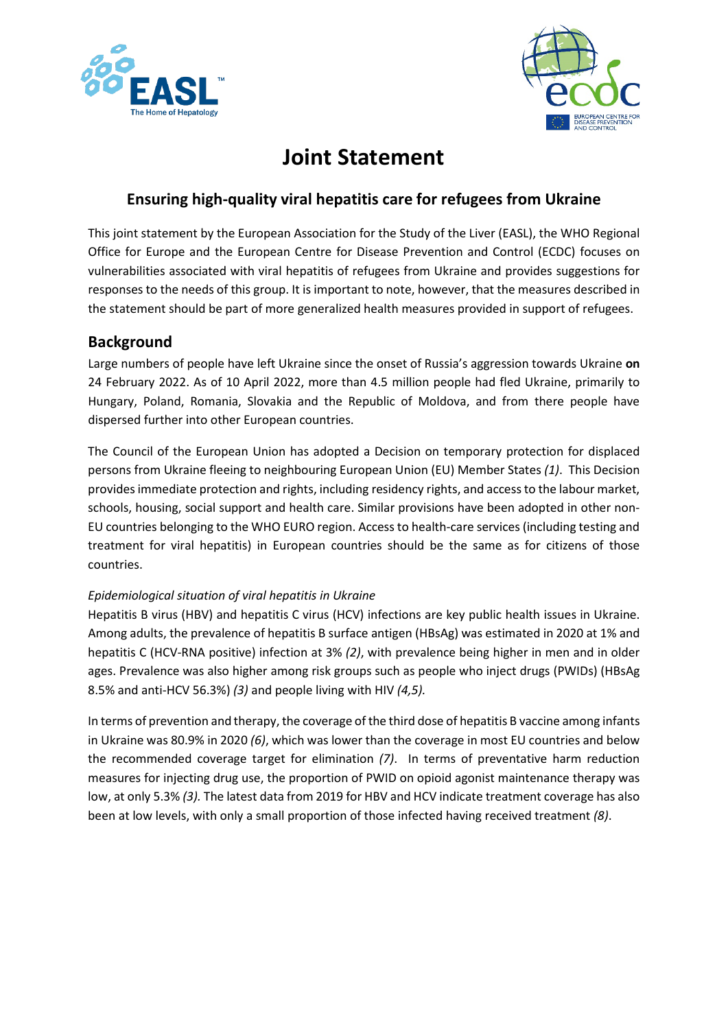



# **Joint Statement**

## **Ensuring high-quality viral hepatitis care for refugees from Ukraine**

This joint statement by the European Association for the Study of the Liver (EASL), the WHO Regional Office for Europe and the European Centre for Disease Prevention and Control (ECDC) focuses on vulnerabilities associated with viral hepatitis of refugees from Ukraine and provides suggestions for responses to the needs of this group. It is important to note, however, that the measures described in the statement should be part of more generalized health measures provided in support of refugees.

## **Background**

Large numbers of people have left Ukraine since the onset of Russia's aggression towards Ukraine **on** 24 February 2022. As of 10 April 2022, more than 4.5 million people had fled Ukraine, primarily to Hungary, Poland, Romania, Slovakia and the Republic of Moldova, and from there people have dispersed further into other European countries.

The Council of the European Union has adopted a Decision on temporary protection for displaced persons from Ukraine fleeing to neighbouring European Union (EU) Member States *(1)*. This Decision provides immediate protection and rights, including residency rights, and access to the labour market, schools, housing, social support and health care. Similar provisions have been adopted in other non-EU countries belonging to the WHO EURO region. Access to health-care services (including testing and treatment for viral hepatitis) in European countries should be the same as for citizens of those countries.

#### *Epidemiological situation of viral hepatitis in Ukraine*

Hepatitis B virus (HBV) and hepatitis C virus (HCV) infections are key public health issues in Ukraine. Among adults, the prevalence of hepatitis B surface antigen (HBsAg) was estimated in 2020 at 1% and hepatitis C (HCV-RNA positive) infection at 3% *(2)*, with prevalence being higher in men and in older ages. Prevalence was also higher among risk groups such as people who inject drugs (PWIDs) (HBsAg 8.5% and anti-HCV 56.3%) *(3)* and people living with HIV *(4,5).*

In terms of prevention and therapy, the coverage of the third dose of hepatitis B vaccine among infants in Ukraine was 80.9% in 2020 *(6)*, which was lower than the coverage in most EU countries and below the recommended coverage target for elimination *(7)*. In terms of preventative harm reduction measures for injecting drug use, the proportion of PWID on opioid agonist maintenance therapy was low, at only 5.3% *(3).* The latest data from 2019 for HBV and HCV indicate treatment coverage has also been at low levels, with only a small proportion of those infected having received treatment *(8)*.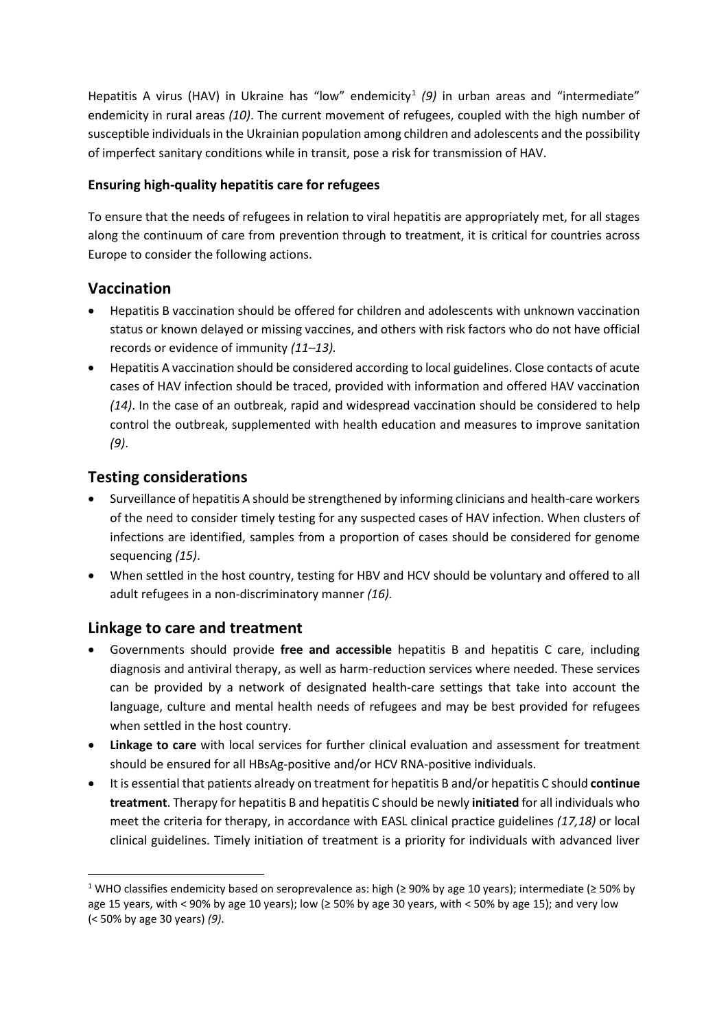Hepatitis A virus (HAV) in Ukraine has "low" endemicity<sup>[1](#page-1-0)</sup> (9) in urban areas and "intermediate" endemicity in rural areas *(10)*. The current movement of refugees, coupled with the high number of susceptible individuals in the Ukrainian population among children and adolescents and the possibility of imperfect sanitary conditions while in transit, pose a risk for transmission of HAV.

#### **Ensuring high-quality hepatitis care for refugees**

To ensure that the needs of refugees in relation to viral hepatitis are appropriately met, for all stages along the continuum of care from prevention through to treatment, it is critical for countries across Europe to consider the following actions.

## **Vaccination**

- Hepatitis B vaccination should be offered for children and adolescents with unknown vaccination status or known delayed or missing vaccines, and others with risk factors who do not have official records or evidence of immunity *(11–13).*
- Hepatitis A vaccination should be considered according to local guidelines. Close contacts of acute cases of HAV infection should be traced, provided with information and offered HAV vaccination *(14)*. In the case of an outbreak, rapid and widespread vaccination should be considered to help control the outbreak, supplemented with health education and measures to improve sanitation *(9)*.

## **Testing considerations**

- Surveillance of hepatitis A should be strengthened by informing clinicians and health-care workers of the need to consider timely testing for any suspected cases of HAV infection. When clusters of infections are identified, samples from a proportion of cases should be considered for genome sequencing *(15)*.
- When settled in the host country, testing for HBV and HCV should be voluntary and offered to all adult refugees in a non-discriminatory manner *(16).*

## **Linkage to care and treatment**

- Governments should provide **free and accessible** hepatitis B and hepatitis C care, including diagnosis and antiviral therapy, as well as harm-reduction services where needed. These services can be provided by a network of designated health-care settings that take into account the language, culture and mental health needs of refugees and may be best provided for refugees when settled in the host country.
- **Linkage to care** with local services for further clinical evaluation and assessment for treatment should be ensured for all HBsAg-positive and/or HCV RNA-positive individuals.
- It is essential that patients already on treatment for hepatitis B and/or hepatitis C should **continue treatment**. Therapy for hepatitis B and hepatitis C should be newly **initiated** for all individuals who meet the criteria for therapy, in accordance with EASL clinical practice guidelines *(17,18)* or local clinical guidelines. Timely initiation of treatment is a priority for individuals with advanced liver

<span id="page-1-0"></span><sup>&</sup>lt;sup>1</sup> WHO classifies endemicity based on seroprevalence as: high (≥ 90% by age 10 years); intermediate (≥ 50% by age 15 years, with < 90% by age 10 years); low (≥ 50% by age 30 years, with < 50% by age 15); and very low (< 50% by age 30 years) *(9)*.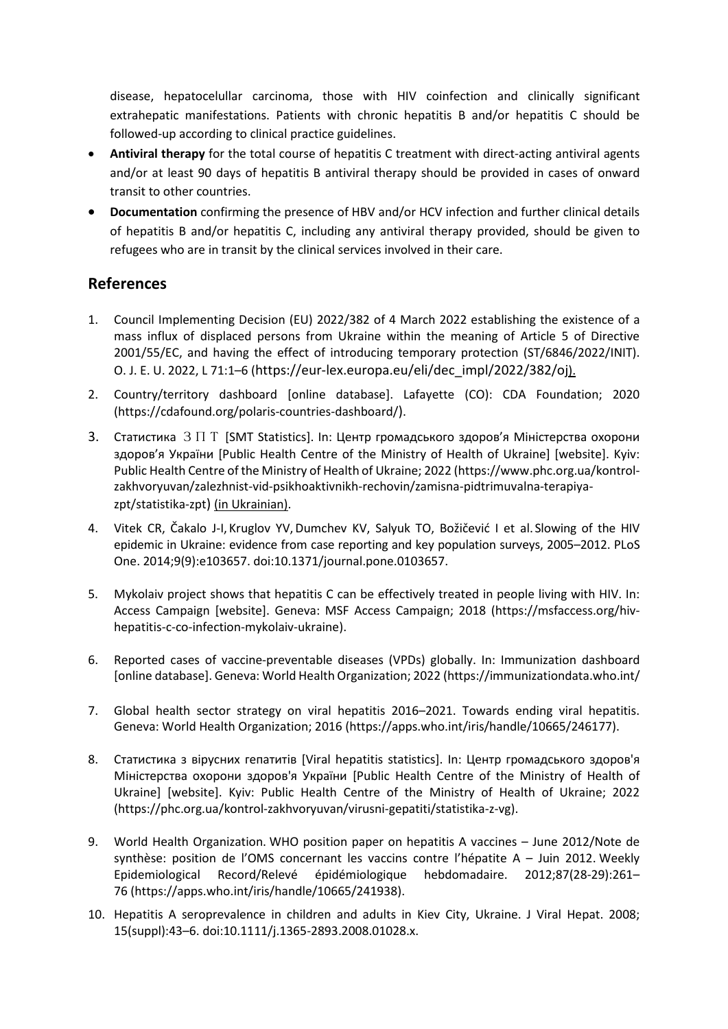disease, hepatocelullar carcinoma, those with HIV coinfection and clinically significant extrahepatic manifestations. Patients with chronic hepatitis B and/or hepatitis C should be followed-up according to clinical practice guidelines.

- **Antiviral therapy** for the total course of hepatitis C treatment with direct-acting antiviral agents and/or at least 90 days of hepatitis B antiviral therapy should be provided in cases of onward transit to other countries.
- **Documentation** confirming the presence of HBV and/or HCV infection and further clinical details of hepatitis B and/or hepatitis C, including any antiviral therapy provided, should be given to refugees who are in transit by the clinical services involved in their care.

#### **References**

- 1. Council Implementing Decision (EU) 2022/382 of 4 March 2022 establishing the existence of a mass influx of displaced persons from Ukraine within the meaning of Article 5 of Directive 2001/55/EC, and having the effect of introducing temporary protection (ST/6846/2022/INIT). O. J. E. U. 2022, L 71:1–6 (https://eur-lex.europa.eu/eli/dec\_impl/2022/382/oj).
- 2. Country/territory dashboard [online database]. Lafayette (CO): CDA Foundation; 2020 (https://cdafound.org/polaris-countries-dashboard/).
- 3. Статистика  $3 \Pi T$  [SMT Statistics]. In: Центр громадського здоров'я Міністерства охорони здоров'я України [Public Health Centre of the Ministry of Health of Ukraine] [website]. Kyiv: Public Health Centre of the Ministry of Health of Ukraine; 2022 (https://www.phc.org.ua/kontrolzakhvoryuvan/zalezhnist-vid-psikhoaktivnikh-rechovin/zamisna-pidtrimuvalna-terapiyazpt/statistika-zpt) (in Ukrainian).
- 4. Vitek CR, Čakalo J-I, Kruglov YV, Dumchev KV, Salyuk TO, Božičević I et al. Slowing of the HIV epidemic in Ukraine: evidence from case reporting and key population surveys, 2005–2012. PLoS One. 2014;9(9):e103657. doi:10.1371/journal.pone.0103657.
- 5. Mykolaiv project shows that hepatitis C can be effectively treated in people living with HIV. In: Access Campaign [website]. Geneva: MSF Access Campaign; 2018 (https://msfaccess.org/hivhepatitis-c-co-infection-mykolaiv-ukraine).
- 6. Reported cases of vaccine-preventable diseases (VPDs) globally. In: Immunization dashboard [online database]. Geneva: World Health Organization; 2022 (https://immunizationdata.who.int/
- 7. Global health sector strategy on viral hepatitis 2016–2021. Towards ending viral hepatitis. Geneva: World Health Organization; 2016 (https://apps.who.int/iris/handle/10665/246177).
- 8. Статистика з вірусних гепатитів [Viral hepatitis statistics]. In: Центр громадського здоров'я Міністерства охорони здоров'я України [Public Health Centre of the Ministry of Health of Ukraine] [website]. Kyiv: Public Health Centre of the Ministry of Health of Ukraine; 2022 (https://phc.org.ua/kontrol-zakhvoryuvan/virusni-gepatiti/statistika-z-vg).
- 9. World Health Organization. WHO position paper on hepatitis A vaccines June 2012/Note de synthèse: position de l'OMS concernant les vaccins contre l'hépatite A – Juin 2012. Weekly Epidemiological Record/Relevé épidémiologique hebdomadaire. 2012;87(28-29):261– 76 (https://apps.who.int/iris/handle/10665/241938).
- 10. Hepatitis A seroprevalence in children and adults in Kiev City, Ukraine. J Viral Hepat. 2008; 15(suppl):43–6. doi:10.1111/j.1365-2893.2008.01028.x.